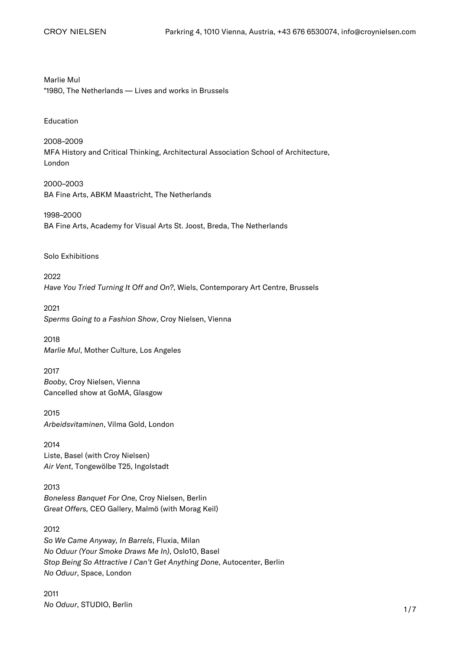Marlie Mul

\*1980, The Netherlands — Lives and works in Brussels

#### Education

2008–2009 MFA History and Critical Thinking, Architectural Association School of Architecture, London

2000–2003 BA Fine Arts, ABKM Maastricht, The Netherlands

1998–2000 BA Fine Arts, Academy for Visual Arts St. Joost, Breda, The Netherlands

#### Solo Exhibitions

2022 Have You Tried Turning It Off and On?, Wiels, Contemporary Art Centre, Brussels

2021 Sperms Going to a Fashion Show, Croy Nielsen, Vienna

2018 Marlie Mul, Mother Culture, Los Angeles

2017 Booby, Croy Nielsen, Vienna Cancelled show at GoMA, Glasgow

2015 Arbeidsvitaminen, Vilma Gold, London

2014 Liste, Basel (with Croy Nielsen) Air Vent, Tongewölbe T25, Ingolstadt

2013 Boneless Banquet For One, Croy Nielsen, Berlin Great Offers, CEO Gallery, Malmö (with Morag Keil)

2012 So We Came Anyway, In Barrels, Fluxia, Milan No Oduur (Your Smoke Draws Me In), Oslo10, Basel Stop Being So Attractive I Can't Get Anything Done, Autocenter, Berlin No Oduur, Space, London

2011 No Oduur, STUDIO, Berlin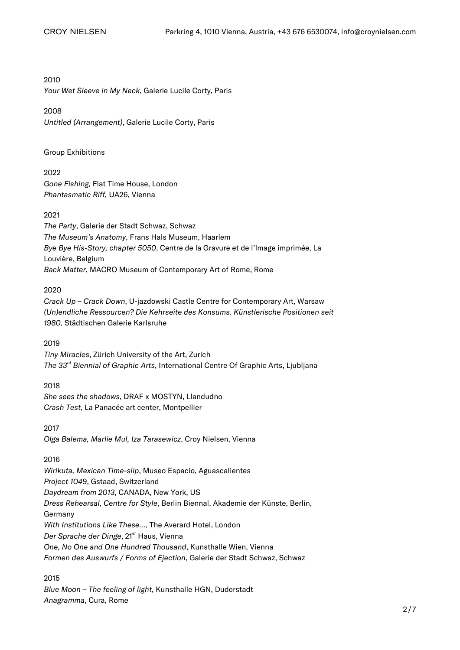2010

Your Wet Sleeve in My Neck, Galerie Lucile Corty, Paris

#### 2008

Untitled (Arrangement), Galerie Lucile Corty, Paris

#### Group Exhibitions

2022 Gone Fishing, Flat Time House, London Phantasmatic Riff, UA26, Vienna

#### 2021

The Party, Galerie der Stadt Schwaz, Schwaz The Museum's Anatomy, Frans Hals Museum, Haarlem Bye Bye His-Story, chapter 5050, Centre de la Gravure et de l'Image imprimée, La Louvière, Belgium Back Matter, MACRO Museum of Contemporary Art of Rome, Rome

2020

Crack Up – Crack Down, U-jazdowski Castle Centre for Contemporary Art, Warsaw (Un)endliche Ressourcen? Die Kehrseite des Konsums. Künstlerische Positionen seit 1980, Städtischen Galerie Karlsruhe

2019

Tiny Miracles, Zürich University of the Art, Zurich The 33<sup>rd</sup> Biennial of Graphic Arts, International Centre Of Graphic Arts, Ljubljana

2018

She sees the shadows, DRAF x MOSTYN, Llandudno Crash Test, La Panacée art center, Montpellier

2017 [Olga Balema, Marlie Mul, Iza Tarasewicz](https://croynielsen.com/exhibitions/olga-balema-marlie-mul-iza-tarasewicz/)[, Croy Nielsen, Vienna](https://croynielsen.com/exhibitions/olga-balema-marlie-mul-iza-tarasewicz/)

2016

Wirikuta, Mexican Time-slip, Museo Espacio, Aguascalientes Project 1049, Gstaad, Switzerland Daydream from 2013, CANADA, New York, US Dress Rehearsal, Centre for Style, Berlin Biennal, Akademie der Künste, Berlin, Germany With Institutions Like These…, The Averard Hotel, London Der Sprache der Dinge, 21<sup>er</sup> Haus, Vienna One, No One and One Hundred Thousand, Kunsthalle Wien, Vienna Formen des Auswurfs / Forms of Ejection, Galerie der Stadt Schwaz, Schwaz

2015

Blue Moon – The feeling of light, Kunsthalle HGN, Duderstadt Anagramma, Cura, Rome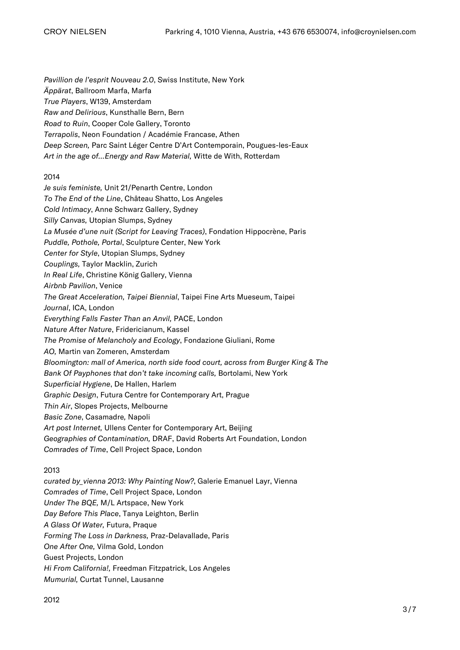Pavillion de l'esprit Nouveau 2.0, Swiss Institute, New York Äppärat, Ballroom Marfa, Marfa True Players, W139, Amsterdam Raw and Delirious, Kunsthalle Bern, Bern Road to Ruin, Cooper Cole Gallery, Toronto Terrapolis, Neon Foundation / Académie Francase, Athen Deep Screen, Parc Saint Léger Centre D'Art Contemporain, Pougues-les-Eaux Art in the age of…Energy and Raw Material, Witte de With, Rotterdam

### 2014

Je suis feministe, Unit 21/Penarth Centre, London To The End of the Line, Château Shatto, Los Angeles Cold Intimacy, Anne Schwarz Gallery, Sydney Silly Canvas, Utopian Slumps, Sydney La Musée d'une nuit (Script for Leaving Traces), Fondation Hippocrène, Paris Puddle, Pothole, Portal, Sculpture Center, New York Center for Style, Utopian Slumps, Sydney Couplings, Taylor Macklin, Zurich In Real Life, Christine König Gallery, Vienna Airbnb Pavilion, Venice The Great Acceleration, Taipei Biennial, Taipei Fine Arts Mueseum, Taipei Journal, ICA, London Everything Falls Faster Than an Anvil, PACE, London Nature After Nature, Fridericianum, Kassel The Promise of Melancholy and Ecology, Fondazione Giuliani, Rome AO, Martin van Zomeren, Amsterdam Bloomington: mall of America, north side food court, across from Burger King & The Bank Of Payphones that don't take incoming calls, Bortolami, New York Superficial Hygiene, De Hallen, Harlem Graphic Design, Futura Centre for Contemporary Art, Prague Thin Air, Slopes Projects, Melbourne Basic Zone, Casamadre, Napoli Art post Internet, Ullens Center for Contemporary Art, Beijing Geographies of Contamination, DRAF, David Roberts Art Foundation, London Comrades of Time, Cell Project Space, London

# 2013

curated by vienna 2013: Why Painting Now?, Galerie Emanuel Layr, Vienna Comrades of Time, Cell Project Space, London Under The BQE, M/L Artspace, New York Day Before This Place, Tanya Leighton, Berlin A Glass Of Water, Futura, Praque Forming The Loss in Darkness, Praz-Delavallade, Paris One After One, Vilma Gold, London Guest Projects, London Hi From California!, Freedman Fitzpatrick, Los Angeles Mumurial, Curtat Tunnel, Lausanne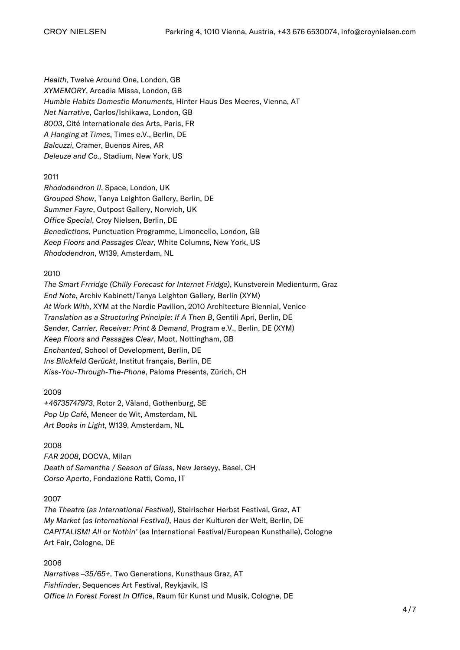Health, Twelve Around One, London, GB XYMEMORY, Arcadia Missa, London, GB Humble Habits Domestic Monuments, Hinter Haus Des Meeres, Vienna, AT Net Narrative, Carlos/Ishikawa, London, GB 8003, Cité Internationale des Arts, Paris, FR A Hanging at Times, Times e.V., Berlin, DE Balcuzzi, Cramer, Buenos Aires, AR Deleuze and Co., Stadium, New York, US

## 2011

Rhododendron II, Space, London, UK Grouped Show, Tanya Leighton Gallery, Berlin, DE Summer Fayre, Outpost Gallery, Norwich, UK Office Special, Croy Nielsen, Berlin, DE Benedictions, Punctuation Programme, Limoncello, London, GB Keep Floors and Passages Clear, White Columns, New York, US Rhododendron, W139, Amsterdam, NL

## 2010

The Smart Frrridge (Chilly Forecast for Internet Fridge), Kunstverein Medienturm, Graz End Note, Archiv Kabinett/Tanya Leighton Gallery, Berlin (XYM) At Work With, XYM at the Nordic Pavilion, 2010 Architecture Biennial, Venice Translation as a Structuring Principle: If A Then B, Gentili Apri, Berlin, DE Sender, Carrier, Receiver: Print & Demand, Program e.V., Berlin, DE (XYM) Keep Floors and Passages Clear, Moot, Nottingham, GB Enchanted, School of Development, Berlin, DE Ins Blickfeld Gerückt, Institut français, Berlin, DE Kiss-You-Through-The-Phone, Paloma Presents, Zürich, CH

### 2009

+46735747973, Rotor 2, Våland, Gothenburg, SE Pop Up Café, Meneer de Wit, Amsterdam, NL Art Books in Light, W139, Amsterdam, NL

### 2008

FAR 2008, DOCVA, Milan Death of Samantha / Season of Glass, New Jerseyy, Basel, CH Corso Aperto, Fondazione Ratti, Como, IT

# 2007

The Theatre (as International Festival), Steirischer Herbst Festival, Graz, AT My Market (as International Festival), Haus der Kulturen der Welt, Berlin, DE CAPITALISM! All or Nothin' (as International Festival/European Kunsthalle), Cologne Art Fair, Cologne, DE

# 2006

Narratives –35/65+, Two Generations, Kunsthaus Graz, AT Fishfinder, Sequences Art Festival, Reykjavik, IS Office In Forest Forest In Office, Raum für Kunst und Musik, Cologne, DE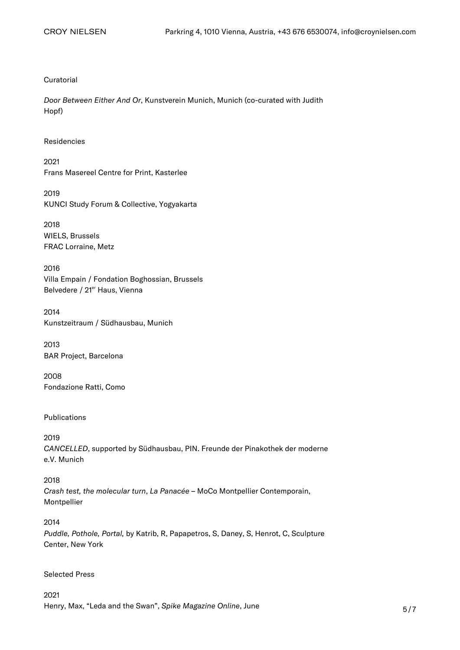### **Curatorial**

Door Between Either And Or, Kunstverein Munich, Munich (co-curated with Judith Hopf)

#### Residencies

2021 Frans Masereel Centre for Print, Kasterlee

2019 KUNCI Study Forum & Collective, Yogyakarta

2018 WIELS, Brussels FRAC Lorraine, Metz

2016 Villa Empain / Fondation Boghossian, Brussels Belvedere / 21<sup>er</sup> Haus, Vienna

2014 Kunstzeitraum / Südhausbau, Munich

2013 BAR Project, Barcelona

2008 Fondazione Ratti, Como

Publications

### 2019

CANCELLED, supported by Südhausbau, PIN. Freunde der Pinakothek der moderne e.V. Munich

#### 2018

Crash test, the molecular turn, La Panacée – MoCo Montpellier Contemporain, Montpellier

#### 2014

Puddle, Pothole, Portal, by Katrib, R, Papapetros, S, Daney, S, Henrot, C, Sculpture Center, New York

### Selected Press

2021 Henry, Max, "Leda and the Swan", Spike Magazine Online, June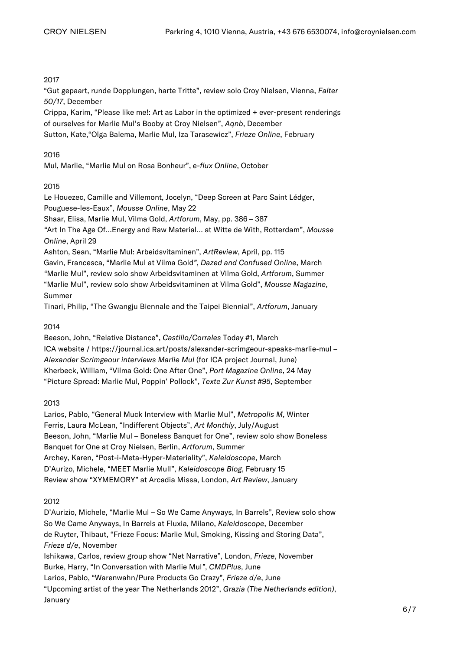### 2017

"Gut gepaart, runde Dopplungen, harte Tritte", review solo Croy Nielsen, Vienna, Falter 50/17, December

Crippa, Karim, "Please like me!: Art as Labor in the optimized + ever-present renderings of ourselves for Marlie Mul's Booby at Croy Nielsen", Aqnb, December Sutton, Kate,"Olga Balema, Marlie Mul, Iza Tarasewicz", Frieze Online, February

## 2016

Mul, Marlie, "Marlie Mul on Rosa Bonheur", e-flux Online, October

## 2015

Le Houezec, Camille and Villemont, Jocelyn, "Deep Screen at Parc Saint Lédger, Pouguese-les-Eaux", Mousse Online, May 22 Shaar, Elisa, Marlie Mul, Vilma Gold, Artforum, May, pp. 386 – 387 "Art In The Age Of…Energy and Raw Material… at Witte de With, Rotterdam", Mousse Online, April 29 Ashton, Sean, "Marlie Mul: Arbeidsvitaminen", ArtReview, April, pp. 115 Gavin, Francesca, "Marlie Mul at Vilma Gold", Dazed and Confused Online, March "Marlie Mul", review solo show Arbeidsvitaminen at Vilma Gold, Artforum, Summer "Marlie Mul", review solo show Arbeidsvitaminen at Vilma Gold", Mousse Magazine, Summer Tinari, Philip, "The Gwangju Biennale and the Taipei Biennial", Artforum, January

# 2014

Beeson, John, "Relative Distance", Castillo/Corrales Today #1, March ICA website / https://journal.ica.art/posts/alexander-scrimgeour-speaks-marlie-mul – Alexander Scrimgeour interviews Marlie Mul (for ICA project Journal, June) Kherbeck, William, "Vilma Gold: One After One", Port Magazine Online, 24 May "Picture Spread: Marlie Mul, Poppin' Pollock", Texte Zur Kunst #95, September

# 2013

Larios, Pablo, "General Muck Interview with Marlie Mul", Metropolis M, Winter Ferris, Laura McLean, "Indifferent Objects", Art Monthly, July/August Beeson, John, "Marlie Mul – Boneless Banquet for One", review solo show Boneless Banquet for One at Croy Nielsen, Berlin, Artforum, Summer Archey, Karen, "Post-i-Meta-Hyper-Materiality", Kaleidoscope, March D'Aurizo, Michele, "MEET Marlie Mull", Kaleidoscope Blog, February 15 Review show "XYMEMORY" at Arcadia Missa, London, Art Review, January

# 2012

D'Aurizio, Michele, "Marlie Mul – So We Came Anyways, In Barrels", Review solo show So We Came Anyways, In Barrels at Fluxia, Milano, Kaleidoscope, December de Ruyter, Thibaut, "Frieze Focus: Marlie Mul, Smoking, Kissing and Storing Data", Frieze d/e, November Ishikawa, Carlos, review group show "Net Narrative", London, Frieze, November Burke, Harry, "In Conversation with Marlie Mul", CMDPlus, June Larios, Pablo, "Warenwahn/Pure Products Go Crazy", Frieze d/e, June "Upcoming artist of the year The Netherlands 2012", Grazia (The Netherlands edition), January